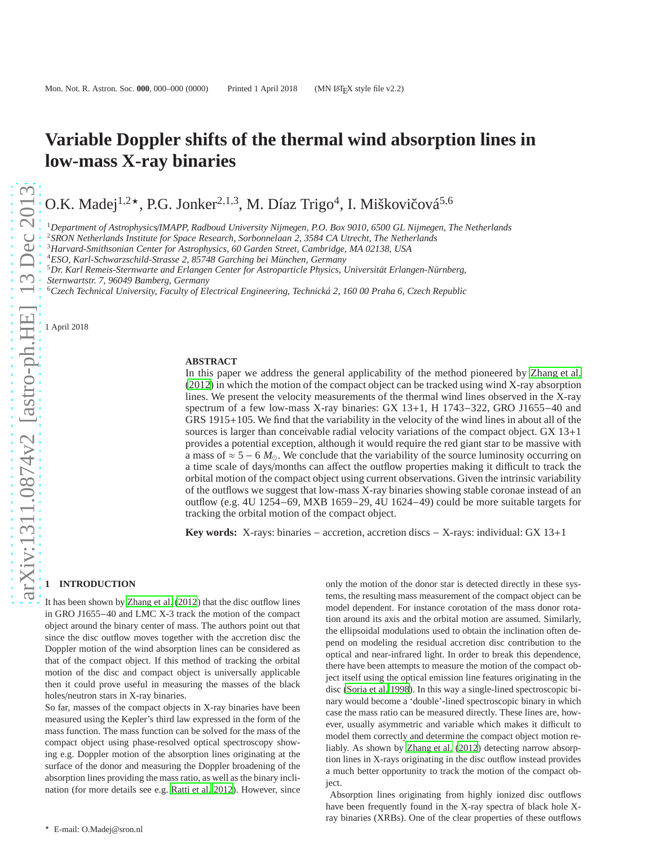# **Variable Doppler shifts of the thermal wind absorption lines in low-mass X-ray binaries**

O.K. Madej<sup>1,2\*</sup>, P.G. Jonker<sup>2,1,3</sup>, M. Díaz Trigo<sup>4</sup>, I. Miškovičová<sup>5,6</sup>

<sup>1</sup>*Department of Astrophysics*/*IMAPP, Radboud University Nijmegen, P.O. Box 9010, 6500 GL Nijmegen, The Netherlands*

<sup>2</sup>*SRON Netherlands Institute for Space Research, Sorbonnelaan 2, 3584 CA Utrecht, The Netherlands*

<sup>3</sup>*Harvard-Smithsonian Center for Astrophysics, 60 Garden Street, Cambridge, MA 02138, USA*

<sup>4</sup>*ESO, Karl-Schwarzschild-Strasse 2, 85748 Garching bei München, Germany*

<sup>5</sup>*Dr. Karl Remeis-Sternwarte and Erlangen Center for Astroparticle Physics, Universität Erlangen-Nürnberg,*

*Sternwartstr. 7, 96049 Bamberg, Germany*

<sup>6</sup>*Czech Technical University, Faculty of Electrical Engineering, Technická 2, 160 00 Praha 6, Czech Republic*

1 April 2018

#### **ABSTRACT**

In this paper we address the general applicability of the method pioneered by [Zhang et al.](#page-10-0) [\(2012\)](#page-10-0) in which the motion of the compact object can be tracked using wind X-ray absorption lines. We present the velocity measurements of the thermal wind lines observed in the X-ray spectrum of a few low-mass X-ray binaries: GX 13+1, H 1743−322, GRO J1655−40 and GRS 1915+105. We find that the variability in the velocity of the wind lines in about all of the sources is larger than conceivable radial velocity variations of the compact object. GX 13+1 provides a potential exception, although it would require the red giant star to be massive with a mass of  $\approx$  5 – 6  $M_{\odot}$ . We conclude that the variability of the source luminosity occurring on a time scale of days/months can affect the outflow properties making it difficult to track the orbital motion of the compact object using current observations. Given the intrinsic variability of the outflows we suggest that low-mass X-ray binaries showing stable coronae instead of an outflow (e.g. 4U 1254−69, MXB 1659−29, 4U 1624−49) could be more suitable targets for tracking the orbital motion of the compact object.

**Key words:** X-rays: binaries − accretion, accretion discs − X-rays: individual: GX 13+1

## **1 INTRODUCTION**

It has been shown by [Zhang et al. \(2012\)](#page-10-0) that the disc outflow lines in GRO J1655−40 and LMC X-3 track the motion of the compact object around the binary center of mass. The authors point out that since the disc outflow moves together with the accretion disc the Doppler motion of the wind absorption lines can be considered as that of the compact object. If this method of tracking the orbital motion of the disc and compact object is universally applicable then it could prove useful in measuring the masses of the black holes/neutron stars in X-ray binaries.

So far, masses of the compact objects in X-ray binaries have been measured using the Kepler's third law expressed in the form of the mass function. The mass function can be solved for the mass of the compact object using phase-resolved optical spectroscopy showing e.g. Doppler motion of the absorption lines originating at the surface of the donor and measuring the Doppler broadening of the absorption lines providing the mass ratio, as well as the binary inclination (for more details see e.g. [Ratti et al. 2012](#page-10-1)). However, since

only the motion of the donor star is detected directly in these systems, the resulting mass measurement of the compact object can be model dependent. For instance corotation of the mass donor rotation around its axis and the orbital motion are assumed. Similarly, the ellipsoidal modulations used to obtain the inclination often depend on modeling the residual accretion disc contribution to the optical and near-infrared light. In order to break this dependence, there have been attempts to measure the motion of the compact object itself using the optical emission line features originating in the disc [\(Soria et al. 1998](#page-10-2)). In this way a single-lined spectroscopic binary would become a 'double'-lined spectroscopic binary in which case the mass ratio can be measured directly. These lines are, however, usually asymmetric and variable which makes it difficult to model them correctly and determine the compact object motion reliably. As shown by [Zhang et al.](#page-10-0) [\(2012](#page-10-0)) detecting narrow absorption lines in X-rays originating in the disc outflow instead provides a much better opportunity to track the motion of the compact object.

Absorption lines originating from highly ionized disc outflows have been frequently found in the X-ray spectra of black hole Xray binaries (XRBs). One of the clear properties of these outflows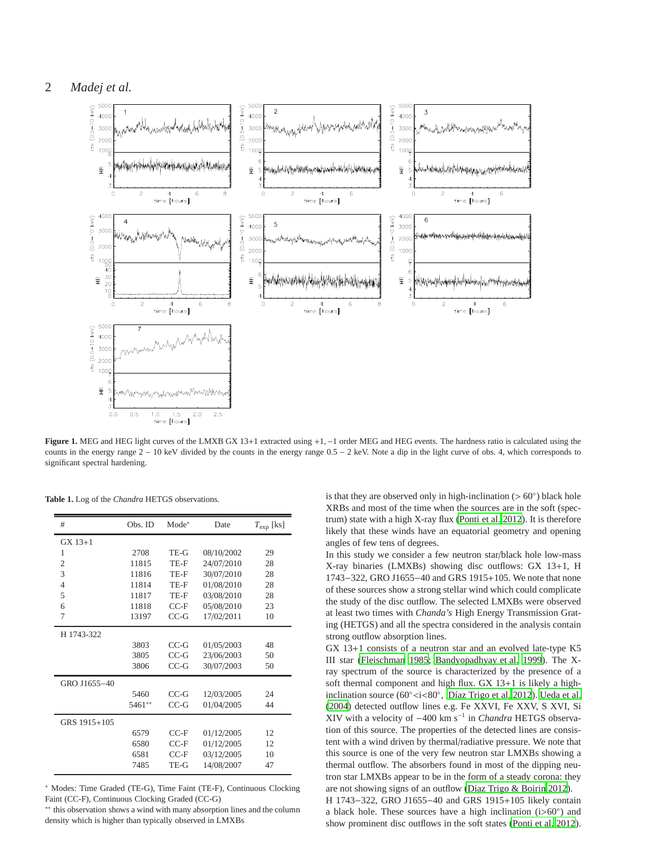



**Figure 1.** MEG and HEG light curves of the LMXB GX 13+1 extracted using +1, −1 order MEG and HEG events. The hardness ratio is calculated using the counts in the energy range 2 − 10 keV divided by the counts in the energy range 0.5 − 2 keV. Note a dip in the light curve of obs. 4, which corresponds to significant spectral hardening.

| #              | Obs. ID | $Mode^*$ | Date       | $T_{\rm exp}$ [ks] |  |
|----------------|---------|----------|------------|--------------------|--|
| $GX 13+1$      |         |          |            |                    |  |
| 1              | 2708    | TE-G     | 08/10/2002 | 29                 |  |
| $\overline{2}$ | 11815   | TE-F     | 24/07/2010 | 28                 |  |
| 3              | 11816   | TE-F     | 30/07/2010 | 28                 |  |
| $\overline{4}$ | 11814   | TE-F     | 01/08/2010 | 28                 |  |
| 5              | 11817   | TE-F     | 03/08/2010 | 28                 |  |
| 6              | 11818   | $CC-F$   | 05/08/2010 | 23                 |  |
| 7              | 13197   | $CC-G$   | 17/02/2011 | 10                 |  |
| H 1743-322     |         |          |            |                    |  |
|                | 3803    | $CC-G$   | 01/05/2003 | 48                 |  |
|                | 3805    | $CC-G$   | 23/06/2003 | 50                 |  |
|                | 3806    | $CC-G$   | 30/07/2003 | 50                 |  |
| GRO J1655-40   |         |          |            |                    |  |
|                | 5460    | $CC-G$   | 12/03/2005 | 24                 |  |
|                | 5461**  | $CC-G$   | 01/04/2005 | 44                 |  |
| GRS 1915+105   |         |          |            |                    |  |
|                | 6579    | $CC-F$   | 01/12/2005 | 12                 |  |
|                | 6580    | $CC-F$   | 01/12/2005 | 12                 |  |
|                | 6581    | $CC-F$   | 03/12/2005 | 10                 |  |
|                | 7485    | TE-G     | 14/08/2007 | 47                 |  |

**Table 1.** Log of the *Chandra* HETGS observations.

<sup>∗</sup> Modes: Time Graded (TE-G), Time Faint (TE-F), Continuous Clocking Faint (CC-F), Continuous Clocking Graded (CC-G)

∗∗ this observation shows a wind with many absorption lines and the column density which is higher than typically observed in LMXBs

is that they are observed only in high-inclination (> 60◦ ) black hole XRBs and most of the time when the sources are in the soft (spectrum) state with a high X-ray flux [\(Ponti et al. 2012\)](#page-10-3). It is therefore likely that these winds have an equatorial geometry and opening angles of few tens of degrees.

In this study we consider a few neutron star/black hole low-mass X-ray binaries (LMXBs) showing disc outflows: GX 13+1, H 1743−322, GRO J1655−40 and GRS 1915+105. We note that none of these sources show a strong stellar wind which could complicate the study of the disc outflow. The selected LMXBs were observed at least two times with *Chanda's* High Energy Transmission Grating (HETGS) and all the spectra considered in the analysis contain strong outflow absorption lines.

GX 13+1 consists of a neutron star and an evolved late-type K5 III star [\(Fleischman 1985](#page-10-4); [Bandyopadhyay et al. 1999](#page-10-5)). The Xray spectrum of the source is characterized by the presence of a soft thermal component and high flux. GX 13+1 is likely a highinclination source (60◦<i<80◦ , [Díaz Trigo et al. 2012](#page-10-6)). [Ueda et al.](#page-10-7) [\(2004](#page-10-7)) detected outflow lines e.g. Fe XXVI, Fe XXV, S XVI, Si XIV with a velocity of −400 km s<sup>−</sup><sup>1</sup> in *Chandra* HETGS observation of this source. The properties of the detected lines are consistent with a wind driven by thermal/radiative pressure. We note that this source is one of the very few neutron star LMXBs showing a thermal outflow. The absorbers found in most of the dipping neutron star LMXBs appear to be in the form of a steady corona: they are not showing signs of an outflow [\(Diaz Trigo & Boirin 2012](#page-10-8)).

H 1743−322, GRO J1655−40 and GRS 1915+105 likely contain a black hole. These sources have a high inclination (i>60°) and show prominent disc outflows in the soft states [\(Ponti et al. 2012](#page-10-3)).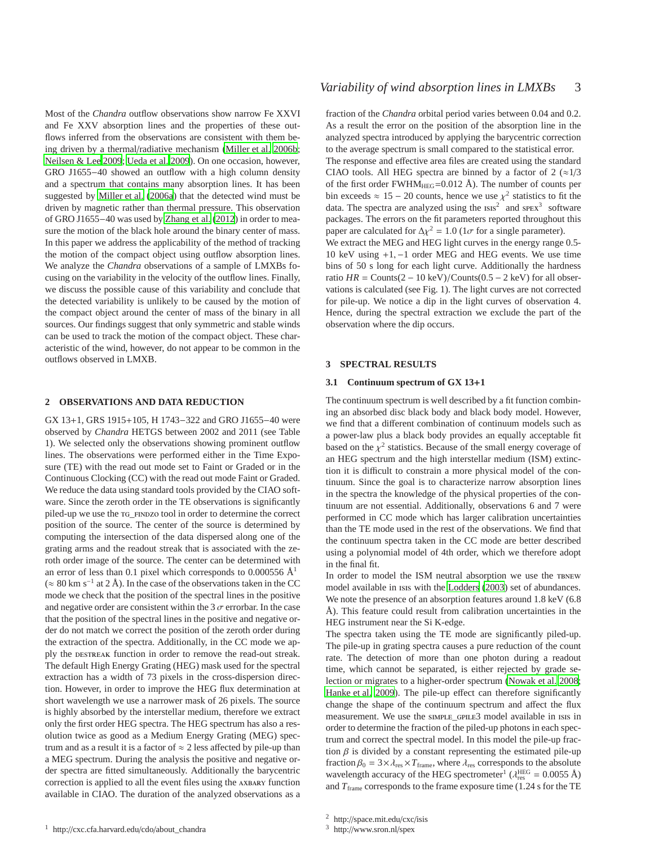Most of the *Chandra* outflow observations show narrow Fe XXVI and Fe XXV absorption lines and the properties of these outflows inferred from the observations are consistent with them being driven by a thermal/radiative mechanism [\(Miller et al. 2006b;](#page-10-9) [Neilsen & Lee 2009](#page-10-10); [Ueda et al. 2009\)](#page-10-11). On one occasion, however, GRO J1655−40 showed an outflow with a high column density and a spectrum that contains many absorption lines. It has been suggested by [Miller et al. \(2006a](#page-10-12)) that the detected wind must be driven by magnetic rather than thermal pressure. This observation of GRO J1655−40 was used by [Zhang et al. \(2012\)](#page-10-0) in order to measure the motion of the black hole around the binary center of mass. In this paper we address the applicability of the method of tracking the motion of the compact object using outflow absorption lines. We analyze the *Chandra* observations of a sample of LMXBs focusing on the variability in the velocity of the outflow lines. Finally, we discuss the possible cause of this variability and conclude that the detected variability is unlikely to be caused by the motion of the compact object around the center of mass of the binary in all sources. Our findings suggest that only symmetric and stable winds can be used to track the motion of the compact object. These characteristic of the wind, however, do not appear to be common in the outflows observed in LMXB.

#### **2 OBSERVATIONS AND DATA REDUCTION**

GX 13+1, GRS 1915+105, H 1743−322 and GRO J1655−40 were observed by *Chandra* HETGS between 2002 and 2011 (see Table 1). We selected only the observations showing prominent outflow lines. The observations were performed either in the Time Exposure (TE) with the read out mode set to Faint or Graded or in the Continuous Clocking (CC) with the read out mode Faint or Graded. We reduce the data using standard tools provided by the CIAO software. Since the zeroth order in the TE observations is significantly piled-up we use the tg\_findzo tool in order to determine the correct position of the source. The center of the source is determined by computing the intersection of the data dispersed along one of the grating arms and the readout streak that is associated with the zeroth order image of the source. The center can be determined with an error of less than 0.1 pixel which corresponds to 0.000556  $\AA$ <sup>1</sup> (≈ 80 km s<sup>-1</sup> at 2 Å). In the case of the observations taken in the CC mode we check that the position of the spectral lines in the positive and negative order are consistent within the 3  $\sigma$  errorbar. In the case that the position of the spectral lines in the positive and negative order do not match we correct the position of the zeroth order during the extraction of the spectra. Additionally, in the CC mode we apply the destreak function in order to remove the read-out streak. The default High Energy Grating (HEG) mask used for the spectral extraction has a width of 73 pixels in the cross-dispersion direction. However, in order to improve the HEG flux determination at short wavelength we use a narrower mask of 26 pixels. The source is highly absorbed by the interstellar medium, therefore we extract only the first order HEG spectra. The HEG spectrum has also a resolution twice as good as a Medium Energy Grating (MEG) spectrum and as a result it is a factor of  $\approx$  2 less affected by pile-up than a MEG spectrum. During the analysis the positive and negative order spectra are fitted simultaneously. Additionally the barycentric correction is applied to all the event files using the axbary function available in CIAO. The duration of the analyzed observations as a fraction of the *Chandra* orbital period varies between 0.04 and 0.2. As a result the error on the position of the absorption line in the analyzed spectra introduced by applying the barycentric correction to the average spectrum is small compared to the statistical error. The response and effective area files are created using the standard CIAO tools. All HEG spectra are binned by a factor of  $2 (\approx 1/3)$ of the first order FWHM $_{\text{HEG}}$ =0.012 Å). The number of counts per bin exceeds  $\approx 15 - 20$  counts, hence we use  $\chi^2$  statistics to fit the data. The spectra are analyzed using the  $\text{iss}^2$  and  $\text{spex}^3$  software packages. The errors on the fit parameters reported throughout this paper are calculated for  $\Delta \chi^2 = 1.0$  (1 $\sigma$  for a single parameter). We extract the MEG and HEG light curves in the energy range 0.5- 10 keV using +1, −1 order MEG and HEG events. We use time

bins of 50 s long for each light curve. Additionally the hardness ratio  $HR =$ Counts(2 – 10 keV)/Counts(0.5 – 2 keV) for all observations is calculated (see Fig. 1). The light curves are not corrected for pile-up. We notice a dip in the light curves of observation 4. Hence, during the spectral extraction we exclude the part of the observation where the dip occurs.

## **3 SPECTRAL RESULTS**

#### **3.1 Continuum spectrum of GX 13**+**1**

The continuum spectrum is well described by a fit function combining an absorbed disc black body and black body model. However, we find that a different combination of continuum models such as a power-law plus a black body provides an equally acceptable fit based on the  $\chi^2$  statistics. Because of the small energy coverage of an HEG spectrum and the high interstellar medium (ISM) extinction it is difficult to constrain a more physical model of the continuum. Since the goal is to characterize narrow absorption lines in the spectra the knowledge of the physical properties of the continuum are not essential. Additionally, observations 6 and 7 were performed in CC mode which has larger calibration uncertainties than the TE mode used in the rest of the observations. We find that the continuum spectra taken in the CC mode are better described using a polynomial model of 4th order, which we therefore adopt in the final fit.

In order to model the ISM neutral absorption we use the TBNEW model available in isis with the [Lodders](#page-10-13) [\(2003](#page-10-13)) set of abundances. We note the presence of an absorption features around 1.8 keV (6.8 Å). This feature could result from calibration uncertainties in the HEG instrument near the Si K-edge.

The spectra taken using the TE mode are significantly piled-up. The pile-up in grating spectra causes a pure reduction of the count rate. The detection of more than one photon during a readout time, which cannot be separated, is either rejected by grade selection or migrates to a higher-order spectrum [\(Nowak et al.](#page-10-14) [2008;](#page-10-14) [Hanke et al. 2009](#page-10-15)). The pile-up effect can therefore significantly change the shape of the continuum spectrum and affect the flux measurement. We use the simple\_GPILE3 model available in isis in order to determine the fraction of the piled-up photons in each spectrum and correct the spectral model. In this model the pile-up fraction  $\beta$  is divided by a constant representing the estimated pile-up fraction  $\beta_0 = 3 \times \lambda_{\text{res}} \times T_{\text{frame}}$ , where  $\lambda_{\text{res}}$  corresponds to the absolute wavelength accuracy of the HEG spectrometer<sup>1</sup> ( $\lambda_{res}^{\text{HEG}} = 0.0055 \text{ Å}$ ) and  $T_{\text{frame}}$  corresponds to the frame exposure time (1.24 s for the TE

<sup>2</sup> http://space.mit.edu/cxc/isis

<sup>3</sup> http://www.sron.nl/spex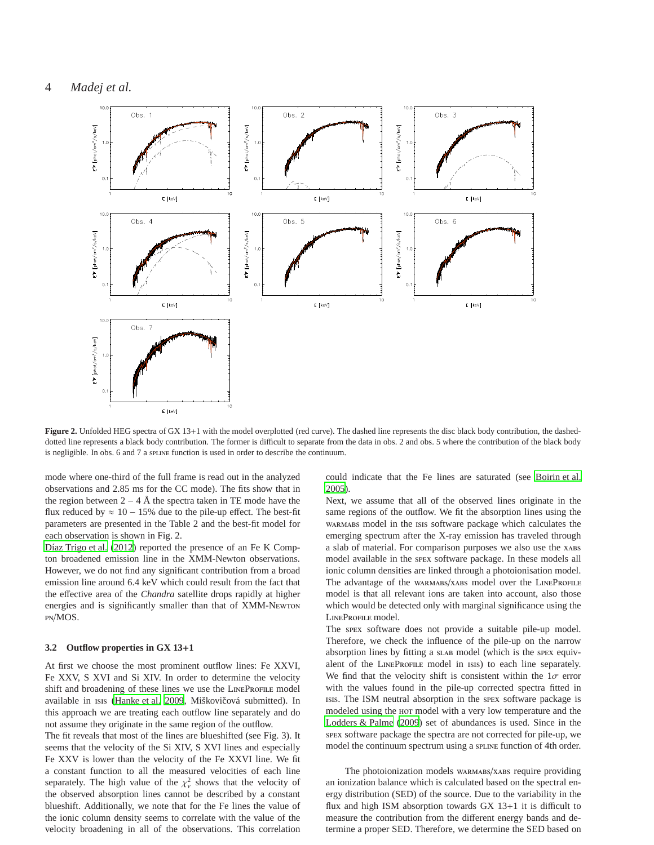## 4 *Madej et al.*



Figure 2. Unfolded HEG spectra of GX 13+1 with the model overplotted (red curve). The dashed line represents the disc black body contribution, the dasheddotted line represents a black body contribution. The former is difficult to separate from the data in obs. 2 and obs. 5 where the contribution of the black body is negligible. In obs. 6 and 7 a spline function is used in order to describe the continuum.

mode where one-third of the full frame is read out in the analyzed observations and 2.85 ms for the CC mode). The fits show that in the region between  $2 - 4$  Å the spectra taken in TE mode have the flux reduced by  $\approx 10 - 15\%$  due to the pile-up effect. The best-fit parameters are presented in the Table 2 and the best-fit model for each observation is shown in Fig. 2.

[Díaz Trigo et al.](#page-10-6) [\(2012](#page-10-6)) reported the presence of an Fe K Compton broadened emission line in the XMM-Newton observations. However, we do not find any significant contribution from a broad emission line around 6.4 keV which could result from the fact that the effective area of the *Chandra* satellite drops rapidly at higher energies and is significantly smaller than that of XMM-Newton pn/MOS.

#### **3.2 Outflow properties in GX 13**+**1**

At first we choose the most prominent outflow lines: Fe XXVI, Fe XXV, S XVI and Si XIV. In order to determine the velocity shift and broadening of these lines we use the LINEPROFILE model available in ISIS [\(Hanke et al. 2009](#page-10-15), Miškovičová submitted). In this approach we are treating each outflow line separately and do not assume they originate in the same region of the outflow.

The fit reveals that most of the lines are blueshifted (see Fig. 3). It seems that the velocity of the Si XIV, S XVI lines and especially Fe XXV is lower than the velocity of the Fe XXVI line. We fit a constant function to all the measured velocities of each line separately. The high value of the  $\chi^2_{\nu}$  shows that the velocity of the observed absorption lines cannot be described by a constant blueshift. Additionally, we note that for the Fe lines the value of the ionic column density seems to correlate with the value of the velocity broadening in all of the observations. This correlation could indicate that the Fe lines are saturated (see [Boirin et](#page-10-16) al. [2005](#page-10-16)).

Next, we assume that all of the observed lines originate in the same regions of the outflow. We fit the absorption lines using the warmabs model in the isis software package which calculates the emerging spectrum after the X-ray emission has traveled through a slab of material. For comparison purposes we also use the xABS model available in the spex software package. In these models all ionic column densities are linked through a photoionisation model. The advantage of the warmabs/xabs model over the LINEPROFILE model is that all relevant ions are taken into account, also those which would be detected only with marginal significance using the LINEPROFILE model.

The spex software does not provide a suitable pile-up model. Therefore, we check the influence of the pile-up on the narrow absorption lines by fitting a slab model (which is the spex equivalent of the LINEPROFILE model in ISIS) to each line separately. We find that the velocity shift is consistent within the  $1\sigma$  error with the values found in the pile-up corrected spectra fitted in isis. The ISM neutral absorption in the spex software package is modeled using the hot model with a very low temperature and the [Lodders & Palme](#page-10-17) [\(2009](#page-10-17)) set of abundances is used. Since in the spex software package the spectra are not corrected for pile-up, we model the continuum spectrum using a spline function of 4th order.

The photoionization models warmaps/xabs require providing an ionization balance which is calculated based on the spectral energy distribution (SED) of the source. Due to the variability in the flux and high ISM absorption towards GX 13+1 it is difficult to measure the contribution from the different energy bands and determine a proper SED. Therefore, we determine the SED based on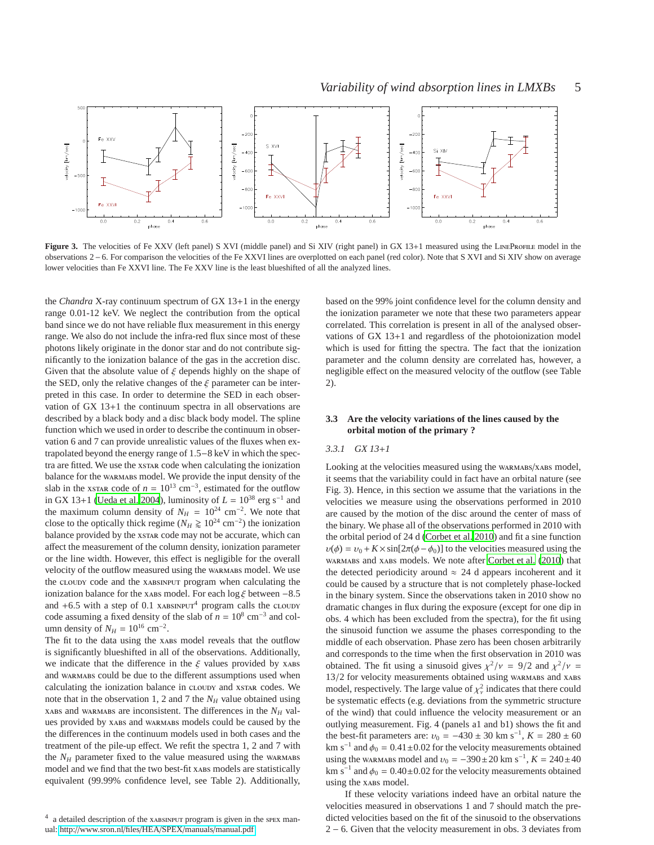

Figure 3. The velocities of Fe XXV (left panel) S XVI (middle panel) and Si XIV (right panel) in GX 13+1 measured using the LINEPROFILE model in the observations 2−6. For comparison the velocities of the Fe XXVI lines are overplotted on each panel (red color). Note that S XVI and Si XIV show on average lower velocities than Fe XXVI line. The Fe XXV line is the least blueshifted of all the analyzed lines.

the *Chandra* X-ray continuum spectrum of GX 13+1 in the energy range 0.01-12 keV. We neglect the contribution from the optical band since we do not have reliable flux measurement in this energy range. We also do not include the infra-red flux since most of these photons likely originate in the donor star and do not contribute significantly to the ionization balance of the gas in the accretion disc. Given that the absolute value of  $\xi$  depends highly on the shape of the SED, only the relative changes of the  $\xi$  parameter can be interpreted in this case. In order to determine the SED in each observation of GX 13+1 the continuum spectra in all observations are described by a black body and a disc black body model. The spline function which we used in order to describe the continuum in observation 6 and 7 can provide unrealistic values of the fluxes when extrapolated beyond the energy range of 1.5−8 keV in which the spectra are fitted. We use the xstar code when calculating the ionization balance for the warmabs model. We provide the input density of the slab in the xstar code of  $n = 10^{13}$  cm<sup>-3</sup>, estimated for the outflow in GX 13+1 [\(Ueda et al. 2004\)](#page-10-7), luminosity of  $L = 10^{38}$  erg s<sup>-1</sup> and the maximum column density of  $N_H = 10^{24}$  cm<sup>-2</sup>. We note that close to the optically thick regime ( $N_H \ge 10^{24}$  cm<sup>-2</sup>) the ionization balance provided by the xstar code may not be accurate, which can affect the measurement of the column density, ionization parameter or the line width. However, this effect is negligible for the overall velocity of the outflow measured using the warmaps model. We use the cloudy code and the xabsinput program when calculating the ionization balance for the xabs model. For each log  $\xi$  between -8.5 and  $+6.5$  with a step of 0.1 xabsing a program calls the cloudy code assuming a fixed density of the slab of  $n = 10^8$  cm<sup>-3</sup> and column density of  $N_H = 10^{16}$  cm<sup>-2</sup>.

The fit to the data using the xabs model reveals that the outflow is significantly blueshifted in all of the observations. Additionally, we indicate that the difference in the  $\xi$  values provided by xabs and warmabs could be due to the different assumptions used when calculating the ionization balance in cloudy and xstar codes. We note that in the observation 1, 2 and 7 the *N<sup>H</sup>* value obtained using xabs and warmabs are inconsistent. The differences in the  $N_H$  values provided by xabs and warmabs models could be caused by the the differences in the continuum models used in both cases and the treatment of the pile-up effect. We refit the spectra 1, 2 and 7 with the  $N_H$  parameter fixed to the value measured using the warmaps model and we find that the two best-fit xABS models are statistically equivalent (99.99% confidence level, see Table 2). Additionally,

based on the 99% joint confidence level for the column density and the ionization parameter we note that these two parameters appear correlated. This correlation is present in all of the analysed observations of GX 13+1 and regardless of the photoionization model which is used for fitting the spectra. The fact that the ionization parameter and the column density are correlated has, however, a negligible effect on the measured velocity of the outflow (see Table 2).

#### **3.3 Are the velocity variations of the lines caused by the orbital motion of the primary ?**

#### *3.3.1 GX 13*+*1*

Looking at the velocities measured using the wARMABS/XABS model, it seems that the variability could in fact have an orbital nature (see Fig. 3). Hence, in this section we assume that the variations in the velocities we measure using the observations performed in 2010 are caused by the motion of the disc around the center of mass of the binary. We phase all of the observations performed in 2010 with the orbital period of 24 d [\(Corbet et al. 2010](#page-10-18)) and fit a sine function  $u(\phi) = v_0 + K \times \sin[2\pi(\phi - \phi_0)]$  to the velocities measured using the warmabs and xabs models. We note after [Corbet et al. \(2010](#page-10-18)) that the detected periodicity around  $\approx$  24 d appears incoherent and it could be caused by a structure that is not completely phase-locked in the binary system. Since the observations taken in 2010 show no dramatic changes in flux during the exposure (except for one dip in obs. 4 which has been excluded from the spectra), for the fit using the sinusoid function we assume the phases corresponding to the middle of each observation. Phase zero has been chosen arbitrarily and corresponds to the time when the first observation in 2010 was obtained. The fit using a sinusoid gives  $\chi^2/\nu = 9/2$  and  $\chi^2/\nu =$ 13/2 for velocity measurements obtained using warmabs and xabs model, respectively. The large value of  $\chi^2_{\nu}$  indicates that there could be systematic effects (e.g. deviations from the symmetric structure of the wind) that could influence the velocity measurement or an outlying measurement. Fig. 4 (panels a1 and b1) shows the fit and the best-fit parameters are:  $v_0 = -430 \pm 30 \text{ km s}^{-1}$ ,  $K = 280 \pm 60$ km s<sup>-1</sup> and  $\phi_0 = 0.41 \pm 0.02$  for the velocity measurements obtained using the warmabs model and  $v_0 = -390 \pm 20$  km s<sup>-1</sup>,  $K = 240 \pm 40$ km s<sup>-1</sup> and  $\phi_0 = 0.40 \pm 0.02$  for the velocity measurements obtained using the xabs model.

If these velocity variations indeed have an orbital nature the velocities measured in observations 1 and 7 should match the predicted velocities based on the fit of the sinusoid to the observations 2 − 6. Given that the velocity measurement in obs. 3 deviates from

<sup>&</sup>lt;sup>4</sup> a detailed description of the xABSINPUT program is given in the spex manual: http://[www.sron.nl](http://www.sron.nl/files/HEA/SPEX/manuals/manual.pdf)/files/HEA/SPEX/manuals/manual.pdf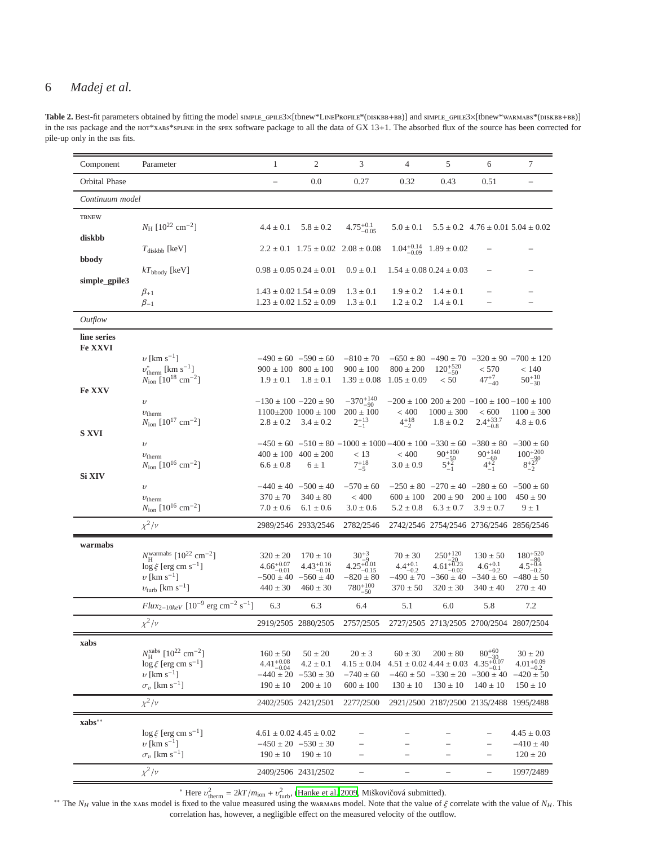## 6 *Madej et al.*

| Table 2. Best-fit parameters obtained by fitting the model simple_GPILE3×[tbnew*LineProFILE*(DISKBB+BB)] and SIMPLE_GPILE3×[tbnew*wARMABS*(DISKBB+BB)]         |
|----------------------------------------------------------------------------------------------------------------------------------------------------------------|
| in the isis package and the $H_0$ *xABS*sPLINE in the spex software package to all the data of GX 13+1. The absorbed flux of the source has been corrected for |
| pile-up only in the isis fits.                                                                                                                                 |

| Component              | Parameter                                                                                           | $\mathbf{1}$                            | $\mathfrak{2}$                                        | 3                                                                                       | 4                                  | 5                                                              | 6                                      | $\tau$                                                                       |
|------------------------|-----------------------------------------------------------------------------------------------------|-----------------------------------------|-------------------------------------------------------|-----------------------------------------------------------------------------------------|------------------------------------|----------------------------------------------------------------|----------------------------------------|------------------------------------------------------------------------------|
| Orbital Phase          |                                                                                                     | $\overline{\phantom{0}}$                | 0.0                                                   | 0.27                                                                                    | 0.32                               | 0.43                                                           | 0.51                                   | $\qquad \qquad -$                                                            |
| Continuum model        |                                                                                                     |                                         |                                                       |                                                                                         |                                    |                                                                |                                        |                                                                              |
| <b>TBNEW</b>           |                                                                                                     |                                         |                                                       |                                                                                         |                                    |                                                                |                                        |                                                                              |
| diskbb                 | $N_{\rm H}$ [10 <sup>22</sup> cm <sup>-2</sup> ]                                                    | $4.4 \pm 0.1$                           | $5.8 \pm 0.2$                                         | $4.75^{+0.1}_{-0.05}$                                                                   | $5.0 \pm 0.1$                      |                                                                |                                        | $5.5 \pm 0.2$ 4.76 $\pm$ 0.01 5.04 $\pm$ 0.02                                |
| bbody                  | $T_{\text{diskbb}}$ [keV]                                                                           |                                         |                                                       | $2.2 \pm 0.1$ $1.75 \pm 0.02$ $2.08 \pm 0.08$                                           | $1.04_{-0.09}^{+0.14}$             | $1.89 \pm 0.02$                                                |                                        |                                                                              |
|                        | $kT_{\text{bbody}}$ [keV]                                                                           | $0.98 \pm 0.05$ $0.24 \pm 0.01$         |                                                       | $0.9 \pm 0.1$                                                                           |                                    | $1.54 \pm 0.08$ $0.24 \pm 0.03$                                |                                        |                                                                              |
| simple_gpile3          | $\beta_{+1}$                                                                                        |                                         | $1.43 \pm 0.02$ $1.54 \pm 0.09$                       | $1.3 \pm 0.1$                                                                           | $1.9 \pm 0.2$                      | $1.4 \pm 0.1$                                                  |                                        |                                                                              |
|                        | $\beta_{-1}$                                                                                        |                                         | $1.23 \pm 0.02$ $1.52 \pm 0.09$                       | $1.3 \pm 0.1$                                                                           | $1.2 \pm 0.2$                      | $1.4 \pm 0.1$                                                  |                                        |                                                                              |
| Outflow                |                                                                                                     |                                         |                                                       |                                                                                         |                                    |                                                                |                                        |                                                                              |
| line series<br>Fe XXVI |                                                                                                     |                                         |                                                       |                                                                                         |                                    |                                                                |                                        |                                                                              |
|                        | $v$ [km s <sup>-1</sup> ]                                                                           |                                         | $-490 \pm 60$ $-590 \pm 60$                           | $-810 \pm 70$                                                                           |                                    |                                                                |                                        | $-650 \pm 80$ $-490 \pm 70$ $-320 \pm 90$ $-700 \pm 120$                     |
|                        | $v^*_{\text{therm}}$ [km s <sup>-1</sup> ]<br>$N_{\rm ion}$ [10 <sup>18</sup> cm <sup>-2</sup> ]    | $1.9 \pm 0.1$                           | $900 \pm 100$ $800 \pm 100$<br>$1.8 \pm 0.1$          | $900 \pm 100$<br>$1.39 \pm 0.08$                                                        | $800 \pm 200$<br>$1.05 \pm 0.09$   | $120^{+520}_{-50}\,$<br>< 50                                   | < 570<br>$47^{+7}_{-40}$               | < 140<br>$50^{+10}_{-30}$                                                    |
| Fe XXV                 |                                                                                                     |                                         |                                                       |                                                                                         |                                    |                                                                |                                        |                                                                              |
|                        | $\upsilon$<br>$v_{\text{therm}}$                                                                    | $-130 \pm 100 - 220 \pm 90$             | $1100\pm200$ $1000\pm100$                             | $-370^{+140}_{-90}$<br>$200 \pm 100$                                                    | < 400                              | $1000 \pm 300$                                                 | ${}< 600$                              | $-200 \pm 100$ 200 $\pm 200$ $-100 \pm 100$ $-100 \pm 100$<br>$1100 \pm 300$ |
|                        | $N_{\text{ion}}$ [10 <sup>17</sup> cm <sup>-2</sup> ]                                               | $2.8 \pm 0.2$                           | $3.4 \pm 0.2$                                         | $2^{+13}_{-1}$                                                                          | $4^{+18}_{-2}$                     | $1.8 \pm 0.2$                                                  | $2.4^{+33.7}_{-0.8}$                   | $4.8 \pm 0.6$                                                                |
| <b>S XVI</b>           | $\upsilon$                                                                                          |                                         |                                                       | $-450 \pm 60$ $-510 \pm 80$ $-1000 \pm 1000$ $-400 \pm 100$ $-330 \pm 60$ $-380 \pm 80$ |                                    |                                                                |                                        | $-300 \pm 60$                                                                |
|                        | $v_{\text{therm}}$                                                                                  |                                         | $400 \pm 100$ $400 \pm 200$                           | < 13                                                                                    | $<400$                             | $90^{+100}_{-50}$<br>$5^{+2}_{-1}$                             |                                        |                                                                              |
|                        | $N_{\text{ion}}$ [10 <sup>16</sup> cm <sup>-2</sup> ]                                               | $6.6 \pm 0.8$                           | $6 \pm 1$                                             | $7^{+18}_{-5}$                                                                          | $3.0 \pm 0.9$                      |                                                                | $90^{+140}_{-60}$<br>$4^{+2}_{-1}$     | $100^{+200}_{-90}\atop{8+27\atop-2}$                                         |
| Si XIV                 | $\upsilon$                                                                                          |                                         | $-440 \pm 40$ $-500 \pm 40$                           | $-570 \pm 60$                                                                           |                                    | $-250 \pm 80$ $-270 \pm 40$ $-280 \pm 60$ $-500 \pm 60$        |                                        |                                                                              |
|                        | $v_{\text{therm}}$                                                                                  | $370 \pm 70$                            | $340 \pm 80$                                          | < 400                                                                                   | $600 \pm 100$                      | $200 \pm 90$                                                   | $200 \pm 100$                          | $450 \pm 90$                                                                 |
|                        | $N_{\rm ion}$ [10 <sup>16</sup> cm <sup>-2</sup> ]                                                  | $7.0 \pm 0.6$                           | $6.1 \pm 0.6$                                         | $3.0 \pm 0.6$                                                                           | $5.2 \pm 0.8$                      | $6.3 \pm 0.7$                                                  | $3.9 \pm 0.7$                          | $9 \pm 1$                                                                    |
|                        | $\chi^2/\nu$                                                                                        |                                         | 2989/2546 2933/2546                                   | 2782/2546                                                                               |                                    | 2742/2546 2754/2546 2736/2546 2856/2546                        |                                        |                                                                              |
| warmabs                |                                                                                                     |                                         |                                                       |                                                                                         |                                    |                                                                |                                        |                                                                              |
|                        | $N_H^{\text{warmabs}}$ [10 <sup>22</sup> cm <sup>-2</sup> ]<br>$\log \xi$ [erg cm s <sup>-1</sup> ] | $320 \pm 20$<br>$4.66^{+0.07}_{-0.01}$  | $170 \pm 10$                                          | $30^{+3}_{-9}$<br>4.25 <sup>+0.01</sup><br><sup>-0.15</sup>                             | $70 \pm 30$<br>$4.4^{+0.1}_{-0.2}$ | $250^{+120}$<br>$4.61_{-0.023}^{+0.23}$                        | $130 \pm 50$<br>$4.6^{+0.1}_{-0.2}$    | $180^{+520}_{-80}\atop{4.5^{+0.4}_{-0.2}}$                                   |
|                        | $v$ [km s <sup>-1</sup> ]                                                                           |                                         | $4.43^{+0.16}_{-0.01}$<br>$-500 \pm 40$ $-560 \pm 40$ | $-820 \pm 80$                                                                           | $-490 \pm 70$                      | $-0.02$                                                        | $-360 \pm 40$ $-340 \pm 60$            | $-480 \pm 50$                                                                |
|                        | $v_{\text{turb}}$ [km s <sup>-1</sup> ]                                                             | $440 \pm 30$                            | $460 \pm 30$                                          | $780^{+100}_{-50}$                                                                      | $370 \pm 50$                       | $320 \pm 30$                                                   | $340 \pm 40$                           | $270 \pm 40$                                                                 |
|                        | $Flux_{2-10keV}$ [10 <sup>-9</sup> erg cm <sup>-2</sup> s <sup>-1</sup> ]                           | 6.3                                     | 6.3                                                   | 6.4                                                                                     | 5.1                                | 6.0                                                            | 5.8                                    | 7.2                                                                          |
|                        | $\chi^2/\nu$                                                                                        |                                         |                                                       | 2919/2505 2880/2505 2757/2505 2727/2505 2713/2505 2700/2504 2807/2504                   |                                    |                                                                |                                        |                                                                              |
| xabs                   |                                                                                                     |                                         |                                                       |                                                                                         |                                    |                                                                |                                        |                                                                              |
|                        | $N_H^{\text{xabs}}$ [10 <sup>22</sup> cm <sup>-2</sup> ]                                            | $160 \pm 50$                            | $50\pm20$                                             | $20 \pm 3$                                                                              | $60 \pm 30$                        | $200 \pm 80$                                                   | $80^{+60}_{-30}$ $4.35^{+0.07}_{-0.1}$ | $30 \pm 20$                                                                  |
|                        | $\log \xi$ [erg cm s <sup>-1</sup> ]<br>$v$ [km s <sup>-1</sup> ]                                   | $4.41^{+0.08}_{-0.04}$<br>$-440 \pm 20$ | $4.2 \pm 0.1$<br>$-530 \pm 30$                        | $4.15 \pm 0.04$<br>$-740 \pm 60$                                                        |                                    | $4.51 \pm 0.02$ $4.44 \pm 0.03$<br>$-460 \pm 50$ $-330 \pm 20$ | $-300 \pm 40$                          | $4.01_{-0.2}^{+0.09}$<br>$-420 \pm 50$                                       |
|                        | $\sigma_{\nu}$ [km s <sup>-1</sup> ]                                                                | $190 \pm 10$                            | $200 \pm 10$                                          | $600 \pm 100$                                                                           | $130 \pm 10$                       | $130 \pm 10$                                                   | $140 \pm 10$                           | $150 \pm 10$                                                                 |
|                        | $\chi^2/\nu$                                                                                        |                                         | 2402/2505 2421/2501                                   | 2277/2500                                                                               |                                    | 2921/2500 2187/2500 2135/2488 1995/2488                        |                                        |                                                                              |
| $xabs**$               |                                                                                                     |                                         |                                                       |                                                                                         |                                    |                                                                |                                        |                                                                              |
|                        | $\log \xi$ [erg cm s <sup>-1</sup> ]                                                                |                                         | $4.61 \pm 0.02$ $4.45 \pm 0.02$                       |                                                                                         |                                    |                                                                |                                        | $4.45 \pm 0.03$                                                              |
|                        | $v$ [km s <sup>-1</sup> ]<br>$\sigma_v$ [km s <sup>-1</sup> ]                                       | $190 \pm 10$                            | $-450 \pm 20$ $-530 \pm 30$<br>$190 \pm 10$           |                                                                                         |                                    |                                                                |                                        | $-410 \pm 40$<br>$120 \pm 20$                                                |
|                        | $\chi^2/\nu$                                                                                        |                                         | 2409/2506 2431/2502                                   |                                                                                         | $\qquad \qquad -$                  |                                                                |                                        | 1997/2489                                                                    |

<sup>\*</sup> Here  $v_{\text{therm}}^2 = 2kT/m_{\text{ion}} + v_{\text{turb}}^2$ , [\(Hanke et al. 2009,](#page-10-15) Miškovičová submitted).

<sup>\*\*</sup> The *N<sub>H</sub>* value in the xabs model is fixed to the value measured using the warmabs model. Note that the value of  $\xi$  correlate with the value of *N<sub>H</sub>*. This correlation has, however, a negligible effect on the measured velocity of the outflow.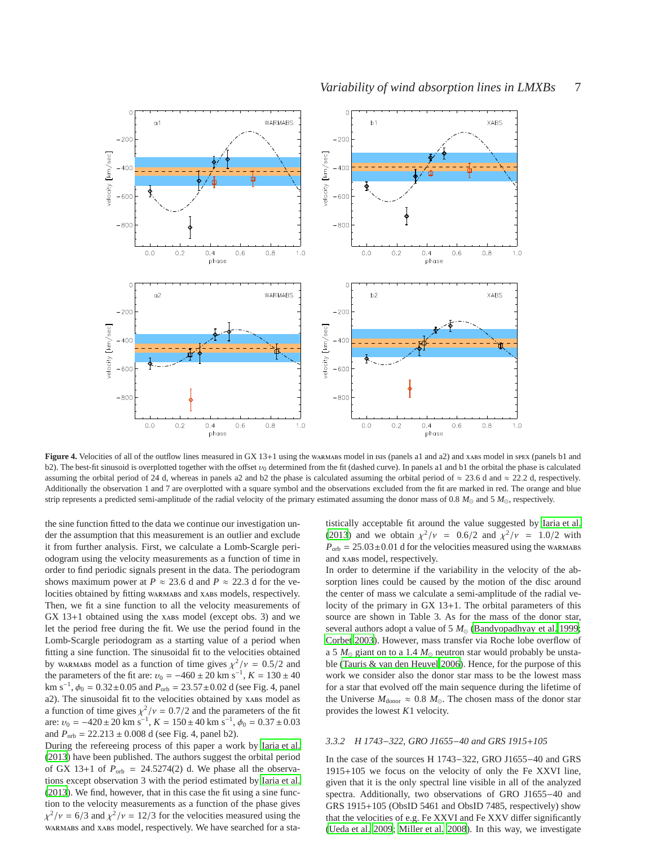

**Figure 4.** Velocities of all of the outflow lines measured in GX 13+1 using the warmab model in isis (panels a1 and a2) and xabs model in spex (panels b1 and b2). The best-fit sinusoid is overplotted together with the offset  $v_0$  determined from the fit (dashed curve). In panels a1 and b1 the orbital the phase is calculated assuming the orbital period of 24 d, whereas in panels a2 and b2 the phase is calculated assuming the orbital period of  $\approx$  23.6 d and  $\approx$  22.2 d, respectively. Additionally the observation 1 and 7 are overplotted with a square symbol and the observations excluded from the fit are marked in red. The orange and blue strip represents a predicted semi-amplitude of the radial velocity of the primary estimated assuming the donor mass of 0.8 *M*⊙ and 5 *M*⊙, respectively.

the sine function fitted to the data we continue our investigation under the assumption that this measurement is an outlier and exclude it from further analysis. First, we calculate a Lomb-Scargle periodogram using the velocity measurements as a function of time in order to find periodic signals present in the data. The periodogram shows maximum power at  $P \approx 23.6$  d and  $P \approx 22.3$  d for the velocities obtained by fitting warmabs and xabs models, respectively. Then, we fit a sine function to all the velocity measurements of  $GX 13+1$  obtained using the xabs model (except obs. 3) and we let the period free during the fit. We use the period found in the Lomb-Scargle periodogram as a starting value of a period when fitting a sine function. The sinusoidal fit to the velocities obtained by warmable by warmable as a function of time gives  $\chi^2/\nu = 0.5/2$  and the parameters of the fit are:  $v_0 = -460 \pm 20$  km s<sup>-1</sup>,  $K = 130 \pm 40$ km s<sup>-1</sup>,  $\phi_0 = 0.32 \pm 0.05$  and  $P_{\text{orb}} = 23.57 \pm 0.02$  d (see Fig. 4, panel a2). The sinusoidal fit to the velocities obtained by xABs model as a function of time gives  $\chi^2/\nu = 0.7/2$  and the parameters of the fit are:  $v_0 = -420 \pm 20$  km s<sup>-1</sup>,  $K = 150 \pm 40$  km s<sup>-1</sup>,  $\phi_0 = 0.37 \pm 0.03$ and  $P_{\text{orb}} = 22.213 \pm 0.008$  d (see Fig. 4, panel b2).

During the refereeing process of this paper a work by [Iaria et](#page-10-19) al. [\(2013](#page-10-19)) have been published. The authors suggest the orbital period of GX 13+1 of  $P_{\text{orb}} = 24.5274(2)$  d. We phase all the observations except observation 3 with the period estimated by [Iaria et al.](#page-10-19) [\(2013](#page-10-19)). We find, however, that in this case the fit using a sine function to the velocity measurements as a function of the phase gives  $\chi^2/\nu = 6/3$  and  $\chi^2/\nu = 12/3$  for the velocities measured using the warmabs and xabs model, respectively. We have searched for a statistically acceptable fit around the value suggested by [Iaria et al.](#page-10-19) [\(2013](#page-10-19)) and we obtain  $\chi^2/\nu = 0.6/2$  and  $\chi^2/\nu = 1.0/2$  with  $P_{\text{orb}} = 25.03 \pm 0.01$  d for the velocities measured using the warmaps and xabs model, respectively.

In order to determine if the variability in the velocity of the absorption lines could be caused by the motion of the disc around the center of mass we calculate a semi-amplitude of the radial velocity of the primary in GX 13+1. The orbital parameters of this source are shown in Table 3. As for the mass of the donor star, several authors adopt a value of 5  $M$ <sub>☉</sub> [\(Bandyopadhyay et al. 1999;](#page-10-5) [Corbet 2003](#page-10-20)). However, mass transfer via Roche lobe overflow of a 5  $M_{\odot}$  giant on to a 1.4  $M_{\odot}$  neutron star would probably be unstable [\(Tauris & van den Heuvel 2006\)](#page-10-21). Hence, for the purpose of this work we consider also the donor star mass to be the lowest mass for a star that evolved off the main sequence during the lifetime of the Universe  $M_{\text{donor}} \approx 0.8 \ M_{\odot}$ . The chosen mass of the donor star provides the lowest *K*1 velocity.

## *3.3.2 H 1743*−*322, GRO J1655*−*40 and GRS 1915*+*105*

In the case of the sources H 1743−322, GRO J1655−40 and GRS 1915+105 we focus on the velocity of only the Fe XXVI line, given that it is the only spectral line visible in all of the analyzed spectra. Additionally, two observations of GRO J1655−40 and GRS 1915+105 (ObsID 5461 and ObsID 7485, respectively) show that the velocities of e.g. Fe XXVI and Fe XXV differ significantly [\(Ueda et al. 2009;](#page-10-11) [Miller et al. 2008\)](#page-10-22). In this way, we investigate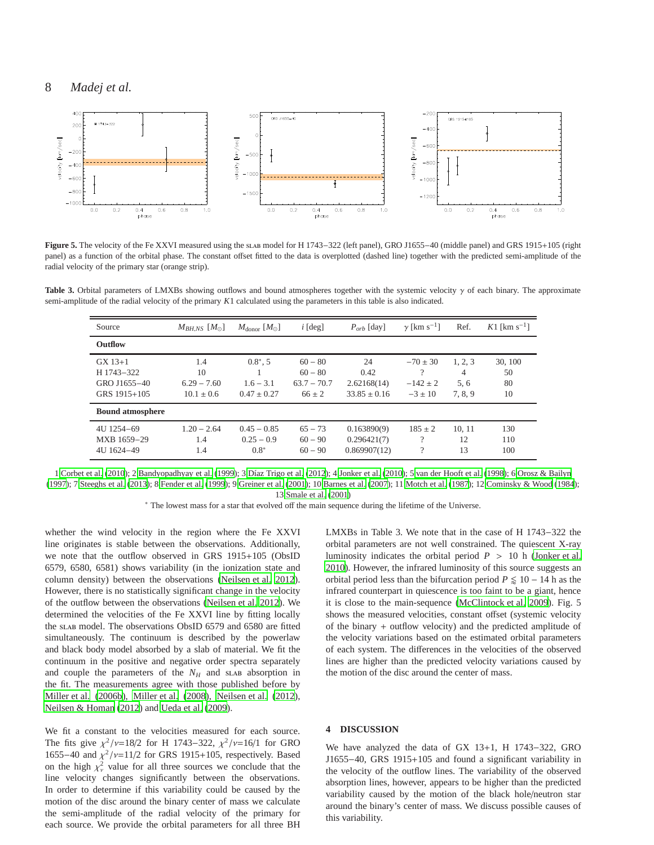

**Figure 5.** The velocity of the Fe XXVI measured using the slab model for H 1743−322 (left panel), GRO J1655−40 (middle panel) and GRS 1915+105 (right panel) as a function of the orbital phase. The constant offset fitted to the data is overplotted (dashed line) together with the predicted semi-amplitude of the radial velocity of the primary star (orange strip).

**Table 3.** Orbital parameters of LMXBs showing outflows and bound atmospheres together with the systemic velocity γ of each binary. The approximate semi-amplitude of the radial velocity of the primary *K*1 calculated using the parameters in this table is also indicated.

| Source                                                  | $M_{BH,NS}$ $[M_{\odot}]$                    | $M_{\rm donor}$ [ $M_{\odot}$ ]               | $i$ [deg]                                           | $P_{orb}$ [day]                               | $\gamma$ [km s <sup>-1</sup> ]                 | Ref.                          | K1 [km s <sup>-1</sup> ]  |
|---------------------------------------------------------|----------------------------------------------|-----------------------------------------------|-----------------------------------------------------|-----------------------------------------------|------------------------------------------------|-------------------------------|---------------------------|
| <b>Outflow</b>                                          |                                              |                                               |                                                     |                                               |                                                |                               |                           |
| $GX 13+1$<br>H 1743-322<br>GRO J1655-40<br>GRS 1915+105 | 1.4<br>10<br>$6.29 - 7.60$<br>$10.1 \pm 0.6$ | $0.8^*$ , 5<br>$1.6 - 3.1$<br>$0.47 \pm 0.27$ | $60 - 80$<br>$60 - 80$<br>$63.7 - 70.7$<br>$66 + 2$ | 24<br>0.42<br>2.62168(14)<br>$33.85 \pm 0.16$ | $-70 \pm 30$<br>?<br>$-142 \pm 2$<br>$-3 + 10$ | 1, 2, 3<br>4<br>5, 6<br>7.8.9 | 30, 100<br>50<br>80<br>10 |
| <b>Bound atmosphere</b>                                 |                                              |                                               |                                                     |                                               |                                                |                               |                           |
| 4U 1254-69<br>MXB 1659-29<br>4U 1624-49                 | $1.20 - 2.64$<br>1.4<br>1.4                  | $0.45 - 0.85$<br>$0.25 - 0.9$<br>$0.8*$       | $65 - 73$<br>$60 - 90$<br>$60 - 90$                 | 0.163890(9)<br>0.296421(7)<br>0.869907(12)    | $185 \pm 2$<br>?<br>$\gamma$                   | 10.11<br>12<br>13             | 130<br>110<br>100         |

1 [Corbet et al. \(2010\)](#page-10-18); 2 [Bandyopadhyay et al.](#page-10-5) [\(1999](#page-10-5)); 3 [Díaz Trigo et al. \(2012\)](#page-10-6); 4 [Jonker et al. \(2010\)](#page-10-23); 5 [van der Hooft et al. \(1998\)](#page-10-24); 6 [Orosz & Bailyn](#page-10-25) [\(1997](#page-10-25)); 7 [Steeghs et al. \(2013\)](#page-10-26); 8 [Fender et al. \(1999\)](#page-10-27); 9 [Greiner et al. \(2001](#page-10-28)); 10 [Barnes et al. \(2007](#page-10-29)); 11 [Motch et al. \(1987\)](#page-10-30); 12 [Cominsky & Wood \(1984\)](#page-10-31); 13 [Smale et al. \(2001\)](#page-10-32)

<sup>∗</sup> The lowest mass for a star that evolved off the main sequence during the lifetime of the Universe.

whether the wind velocity in the region where the Fe XXVI line originates is stable between the observations. Additionally, we note that the outflow observed in GRS 1915+105 (ObsID 6579, 6580, 6581) shows variability (in the ionization state and column density) between the observations [\(Neilsen et al. 2012\)](#page-10-33). However, there is no statistically significant change in the velocity of the outflow between the observations [\(Neilsen et al. 2012](#page-10-33)). We determined the velocities of the Fe XXVI line by fitting locally the slab model. The observations ObsID 6579 and 6580 are fitted simultaneously. The continuum is described by the powerlaw and black body model absorbed by a slab of material. We fit the continuum in the positive and negative order spectra separately and couple the parameters of the  $N_H$  and slab absorption in the fit. The measurements agree with those published before by [Miller et al. \(2006b](#page-10-9)), [Miller et al. \(2008\)](#page-10-22), [Neilsen et al. \(2012\)](#page-10-33), [Neilsen & Homan](#page-10-34) [\(2012](#page-10-34)) and [Ueda et al. \(2009\)](#page-10-11).

We fit a constant to the velocities measured for each source. The fits give  $\chi^2/\nu = 18/2$  for H 1743–322,  $\chi^2/\nu = 16/1$  for GRO 1655–40 and  $\chi^2/\nu$ =11/2 for GRS 1915+105, respectively. Based on the high  $\chi^2_{\nu}$  value for all three sources we conclude that the line velocity changes significantly between the observations. In order to determine if this variability could be caused by the motion of the disc around the binary center of mass we calculate the semi-amplitude of the radial velocity of the primary for each source. We provide the orbital parameters for all three BH

LMXBs in Table 3. We note that in the case of H 1743−322 the orbital parameters are not well constrained. The quiescent X-ray luminosity indicates the orbital period *P* > 10 h [\(Jonker et al.](#page-10-23) [2010](#page-10-23)). However, the infrared luminosity of this source suggests an orbital period less than the bifurcation period  $P \leq 10 - 14$  h as the infrared counterpart in quiescence is too faint to be a giant, hence it is close to the main-sequence [\(McClintock et al. 2009](#page-10-35)). Fig. 5 shows the measured velocities, constant offset (systemic velocity of the binary + outflow velocity) and the predicted amplitude of the velocity variations based on the estimated orbital parameters of each system. The differences in the velocities of the observed lines are higher than the predicted velocity variations caused by the motion of the disc around the center of mass.

#### **4 DISCUSSION**

We have analyzed the data of GX 13+1, H 1743−322, GRO J1655−40, GRS 1915+105 and found a significant variability in the velocity of the outflow lines. The variability of the observed absorption lines, however, appears to be higher than the predicted variability caused by the motion of the black hole/neutron star around the binary's center of mass. We discuss possible causes of this variability.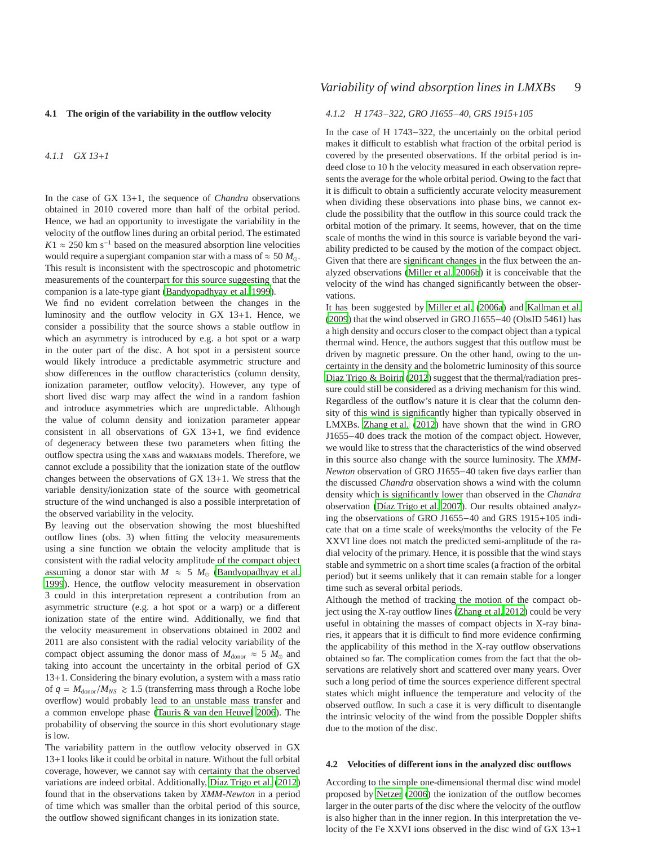#### **4.1 The origin of the variability in the outflow velocity**

## *4.1.1 GX 13*+*1*

In the case of GX 13+1, the sequence of *Chandra* observations obtained in 2010 covered more than half of the orbital period. Hence, we had an opportunity to investigate the variability in the velocity of the outflow lines during an orbital period. The estimated  $K1 \approx 250$  km s<sup>-1</sup> based on the measured absorption line velocities would require a supergiant companion star with a mass of  $\approx$  50  $M_{\odot}$ . This result is inconsistent with the spectroscopic and photometric measurements of the counterpart for this source suggesting that the companion is a late-type giant [\(Bandyopadhyay et al. 1999](#page-10-5)).

We find no evident correlation between the changes in the luminosity and the outflow velocity in GX 13+1. Hence, we consider a possibility that the source shows a stable outflow in which an asymmetry is introduced by e.g. a hot spot or a warp in the outer part of the disc. A hot spot in a persistent source would likely introduce a predictable asymmetric structure and show differences in the outflow characteristics (column density, ionization parameter, outflow velocity). However, any type of short lived disc warp may affect the wind in a random fashion and introduce asymmetries which are unpredictable. Although the value of column density and ionization parameter appear consistent in all observations of GX 13+1, we find evidence of degeneracy between these two parameters when fitting the outflow spectra using the xabs and warmabs models. Therefore, we cannot exclude a possibility that the ionization state of the outflow changes between the observations of GX 13+1. We stress that the variable density/ionization state of the source with geometrical structure of the wind unchanged is also a possible interpretation of the observed variability in the velocity.

By leaving out the observation showing the most blueshifted outflow lines (obs. 3) when fitting the velocity measurements using a sine function we obtain the velocity amplitude that is consistent with the radial velocity amplitude of the compact object assuming a donor star with  $M \approx 5 M_{\odot}$  [\(Bandyopadhyay et al.](#page-10-5) [1999](#page-10-5)). Hence, the outflow velocity measurement in observation 3 could in this interpretation represent a contribution from an asymmetric structure (e.g. a hot spot or a warp) or a different ionization state of the entire wind. Additionally, we find that the velocity measurement in observations obtained in 2002 and 2011 are also consistent with the radial velocity variability of the compact object assuming the donor mass of  $M_{\text{donor}} \approx 5 M_{\odot}$  and taking into account the uncertainty in the orbital period of GX 13+1. Considering the binary evolution, a system with a mass ratio of  $q = M_{\text{donor}}/M_{NS} \ge 1.5$  (transferring mass through a Roche lobe overflow) would probably lead to an unstable mass transfer and a common envelope phase [\(Tauris & van den Heuvel 2006](#page-10-21)). The probability of observing the source in this short evolutionary stage is low.

The variability pattern in the outflow velocity observed in GX 13+1 looks like it could be orbital in nature. Without the full orbital coverage, however, we cannot say with certainty that the observed variations are indeed orbital. Additionally, [Díaz Trigo et](#page-10-6) al. [\(2012](#page-10-6)) found that in the observations taken by *XMM-Newton* in a period of time which was smaller than the orbital period of this source, the outflow showed significant changes in its ionization state.

## *Variability of wind absorption lines in LMXBs* 9

## *4.1.2 H 1743*−*322, GRO J1655*−*40, GRS 1915*+*105*

In the case of H 1743−322, the uncertainly on the orbital period makes it difficult to establish what fraction of the orbital period is covered by the presented observations. If the orbital period is indeed close to 10 h the velocity measured in each observation represents the average for the whole orbital period. Owing to the fact that it is difficult to obtain a sufficiently accurate velocity measurement when dividing these observations into phase bins, we cannot exclude the possibility that the outflow in this source could track the orbital motion of the primary. It seems, however, that on the time scale of months the wind in this source is variable beyond the variability predicted to be caused by the motion of the compact object. Given that there are significant changes in the flux between the analyzed observations [\(Miller et al. 2006b](#page-10-9)) it is conceivable that the velocity of the wind has changed significantly between the observations.

It has been suggested by [Miller et al. \(2006a](#page-10-12)) and [Kallman et al.](#page-10-36) [\(2009](#page-10-36)) that the wind observed in GRO J1655−40 (ObsID 5461) has a high density and occurs closer to the compact object than a typical thermal wind. Hence, the authors suggest that this outflow must be driven by magnetic pressure. On the other hand, owing to the uncertainty in the density and the bolometric luminosity of this source [Diaz Trigo & Boirin \(2012](#page-10-8)) suggest that the thermal/radiation pressure could still be considered as a driving mechanism for this wind. Regardless of the outflow's nature it is clear that the column density of this wind is significantly higher than typically observed in LMXBs. [Zhang et al. \(2012\)](#page-10-0) have shown that the wind in GRO J1655−40 does track the motion of the compact object. However, we would like to stress that the characteristics of the wind observed in this source also change with the source luminosity. The *XMM-Newton* observation of GRO J1655−40 taken five days earlier than the discussed *Chandra* observation shows a wind with the column density which is significantly lower than observed in the *Chandra* observation [\(Díaz Trigo et al. 2007](#page-10-37)). Our results obtained analyzing the observations of GRO J1655−40 and GRS 1915+105 indicate that on a time scale of weeks/months the velocity of the Fe XXVI line does not match the predicted semi-amplitude of the radial velocity of the primary. Hence, it is possible that the wind stays stable and symmetric on a short time scales (a fraction of the orbital period) but it seems unlikely that it can remain stable for a longer time such as several orbital periods.

Although the method of tracking the motion of the compact object using the X-ray outflow lines [\(Zhang et al. 2012](#page-10-0)) could be very useful in obtaining the masses of compact objects in X-ray binaries, it appears that it is difficult to find more evidence confirming the applicability of this method in the X-ray outflow observations obtained so far. The complication comes from the fact that the observations are relatively short and scattered over many years. Over such a long period of time the sources experience different spectral states which might influence the temperature and velocity of the observed outflow. In such a case it is very difficult to disentangle the intrinsic velocity of the wind from the possible Doppler shifts due to the motion of the disc.

#### **4.2 Velocities of di**ff**erent ions in the analyzed disc outflows**

According to the simple one-dimensional thermal disc wind model proposed by [Netzer \(2006](#page-10-38)) the ionization of the outflow becomes larger in the outer parts of the disc where the velocity of the outflow is also higher than in the inner region. In this interpretation the velocity of the Fe XXVI ions observed in the disc wind of GX 13+1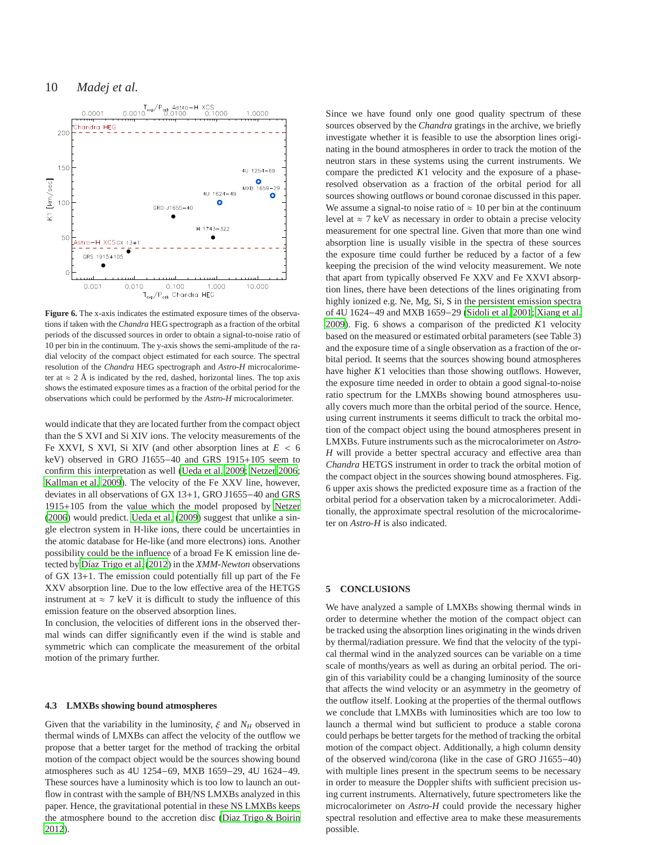

**Figure 6.** The x-axis indicates the estimated exposure times of the observations if taken with the *Chandra* HEG spectrograph as a fraction of the orbital periods of the discussed sources in order to obtain a signal-to-noise ratio of 10 per bin in the continuum. The y-axis shows the semi-amplitude of the radial velocity of the compact object estimated for each source. The spectral resolution of the *Chandra* HEG spectrograph and *Astro-H* microcalorimeter at  $\approx 2$  Å is indicated by the red, dashed, horizontal lines. The top axis shows the estimated exposure times as a fraction of the orbital period for the observations which could be performed by the *Astro-H* microcalorimeter.

would indicate that they are located further from the compact object than the S XVI and Si XIV ions. The velocity measurements of the Fe XXVI, S XVI, Si XIV (and other absorption lines at  $E < 6$ keV) observed in GRO J1655−40 and GRS 1915+105 seem to confirm this interpretation as well [\(Ueda et al. 2009](#page-10-11); [Netzer](#page-10-38) [2006;](#page-10-38) [Kallman et al. 2009\)](#page-10-36). The velocity of the Fe XXV line, however, deviates in all observations of GX 13+1, GRO J1655−40 and GRS 1915+105 from the value which the model proposed by [Netzer](#page-10-38) [\(2006](#page-10-38)) would predict. [Ueda et al. \(2009](#page-10-11)) suggest that unlike a single electron system in H-like ions, there could be uncertainties in the atomic database for He-like (and more electrons) ions. Another possibility could be the influence of a broad Fe K emission line detected by [Díaz Trigo et al. \(2012](#page-10-6)) in the *XMM-Newton* observations of GX 13+1. The emission could potentially fill up part of the Fe XXV absorption line. Due to the low effective area of the HETGS instrument at  $\approx$  7 keV it is difficult to study the influence of this emission feature on the observed absorption lines.

In conclusion, the velocities of different ions in the observed thermal winds can differ significantly even if the wind is stable and symmetric which can complicate the measurement of the orbital motion of the primary further.

#### **4.3 LMXBs showing bound atmospheres**

Given that the variability in the luminosity,  $\xi$  and  $N_H$  observed in thermal winds of LMXBs can affect the velocity of the outflow we propose that a better target for the method of tracking the orbital motion of the compact object would be the sources showing bound atmospheres such as 4U 1254−69, MXB 1659−29, 4U 1624−49. These sources have a luminosity which is too low to launch an outflow in contrast with the sample of BH/NS LMXBs analyzed in this paper. Hence, the gravitational potential in these NS LMXBs keeps the atmosphere bound to the accretion disc [\(Diaz Trigo & Boirin](#page-10-8) [2012](#page-10-8)).

Since we have found only one good quality spectrum of these sources observed by the *Chandra* gratings in the archive, we briefly investigate whether it is feasible to use the absorption lines originating in the bound atmospheres in order to track the motion of the neutron stars in these systems using the current instruments. We compare the predicted *K*1 velocity and the exposure of a phaseresolved observation as a fraction of the orbital period for all sources showing outflows or bound coronae discussed in this paper. We assume a signal-to noise ratio of  $\approx 10$  per bin at the continuum level at  $\approx$  7 keV as necessary in order to obtain a precise velocity measurement for one spectral line. Given that more than one wind absorption line is usually visible in the spectra of these sources the exposure time could further be reduced by a factor of a few keeping the precision of the wind velocity measurement. We note that apart from typically observed Fe XXV and Fe XXVI absorption lines, there have been detections of the lines originating from highly ionized e.g. Ne, Mg, Si, S in the persistent emission spectra of 4U 1624−49 and MXB 1659−29 [\(Sidoli et al. 2001](#page-10-39); [Xiang et al.](#page-10-40) [2009](#page-10-40)). Fig. 6 shows a comparison of the predicted *K*1 velocity based on the measured or estimated orbital parameters (see Table 3) and the exposure time of a single observation as a fraction of the orbital period. It seems that the sources showing bound atmospheres have higher *K*1 velocities than those showing outflows. However, the exposure time needed in order to obtain a good signal-to-noise ratio spectrum for the LMXBs showing bound atmospheres usually covers much more than the orbital period of the source. Hence, using current instruments it seems difficult to track the orbital motion of the compact object using the bound atmospheres present in LMXBs. Future instruments such as the microcalorimeter on *Astro-H* will provide a better spectral accuracy and effective area than *Chandra* HETGS instrument in order to track the orbital motion of the compact object in the sources showing bound atmospheres. Fig. 6 upper axis shows the predicted exposure time as a fraction of the orbital period for a observation taken by a microcalorimeter. Additionally, the approximate spectral resolution of the microcalorimeter on *Astro-H* is also indicated.

## **5 CONCLUSIONS**

We have analyzed a sample of LMXBs showing thermal winds in order to determine whether the motion of the compact object can be tracked using the absorption lines originating in the winds driven by thermal/radiation pressure. We find that the velocity of the typical thermal wind in the analyzed sources can be variable on a time scale of months/years as well as during an orbital period. The origin of this variability could be a changing luminosity of the source that affects the wind velocity or an asymmetry in the geometry of the outflow itself. Looking at the properties of the thermal outflows we conclude that LMXBs with luminosities which are too low to launch a thermal wind but sufficient to produce a stable corona could perhaps be better targets for the method of tracking the orbital motion of the compact object. Additionally, a high column density of the observed wind/corona (like in the case of GRO J1655−40) with multiple lines present in the spectrum seems to be necessary in order to measure the Doppler shifts with sufficient precision using current instruments. Alternatively, future spectrometers like the microcalorimeter on *Astro-H* could provide the necessary higher spectral resolution and effective area to make these measurements possible.